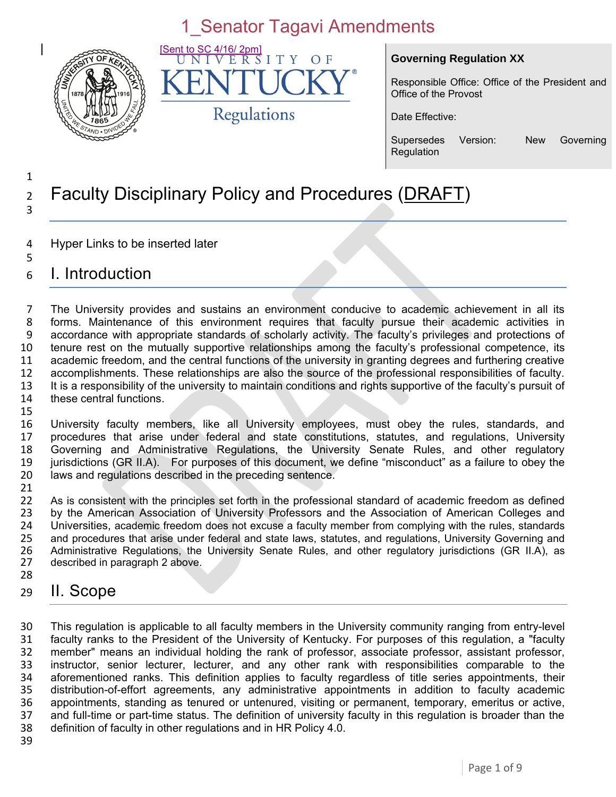

to SC 4/16/ 2pm]<br>[N I V E R S  $IT$ V  $O<sub>F</sub>$ Regulations

#### **Governing Regulation XX**

Responsible Office: Office of the President and Office of the Provost

Date Effective:

Supersedes Version: New Governing Regulation

#### 1 <sup>2</sup> Faculty Disciplinary Policy and Procedures (DRAFT) 3

- 4 Hyper Links to be inserted later
- 5 6 I. Introduction

 The University provides and sustains an environment conducive to academic achievement in all its forms. Maintenance of this environment requires that faculty pursue their academic activities in accordance with appropriate standards of scholarly activity. The faculty's privileges and protections of tenure rest on the mutually supportive relationships among the faculty's professional competence, its academic freedom, and the central functions of the university in granting degrees and furthering creative accomplishments. These relationships are also the source of the professional responsibilities of faculty. It is a responsibility of the university to maintain conditions and rights supportive of the faculty's pursuit of these central functions. 15

 University faculty members, like all University employees, must obey the rules, standards, and procedures that arise under federal and state constitutions, statutes, and regulations, University Governing and Administrative Regulations, the University Senate Rules, and other regulatory jurisdictions (GR II.A). For purposes of this document, we define "misconduct" as a failure to obey the laws and regulations described in the preceding sentence.

21<br>22 As is consistent with the principles set forth in the professional standard of academic freedom as defined 23 by the American Association of University Professors and the Association of American Colleges and 24 Universities, academic freedom does not excuse a faculty member from complying with the rules, standards<br>25 and procedures that arise under federal and state laws, statutes, and regulations, University Governing and 25 and procedures that arise under federal and state laws, statutes, and regulations, University Governing and<br>26 Administrative Regulations, the University Senate Rules, and other regulatory jurisdictions (GR IIA), as 26 Administrative Regulations, the University Senate Rules, and other regulatory jurisdictions (GR II.A), as 27 described in paragraph 2 above. described in paragraph 2 above. 28

#### 29 II. Scope

 This regulation is applicable to all faculty members in the University community ranging from entry-level faculty ranks to the President of the University of Kentucky. For purposes of this regulation, a "faculty member" means an individual holding the rank of professor, associate professor, assistant professor, instructor, senior lecturer, lecturer, and any other rank with responsibilities comparable to the aforementioned ranks. This definition applies to faculty regardless of title series appointments, their 35 distribution-of-effort agreements, any administrative appointments in addition to faculty academic<br>36 appointments, standing as tenured or untenured, visiting or permanent, temporary, emeritus or active, 36 appointments, standing as tenured or untenured, visiting or permanent, temporary, emeritus or active, 37 and full-time or part-time status. The definition of university faculty in this regulation is broader than the and full-time or part-time status. The definition of university faculty in this regulation is broader than the definition of faculty in other regulations and in HR Policy 4.0.

39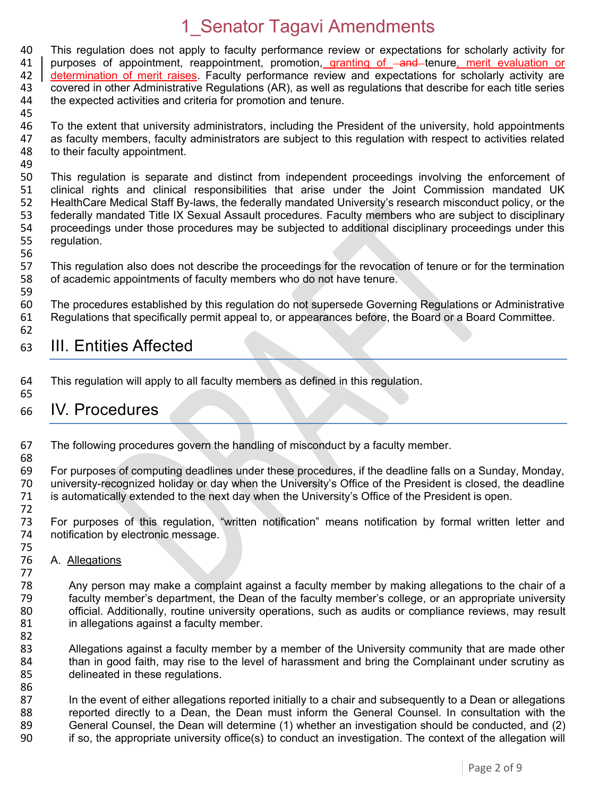40 This regulation does not apply to faculty performance review or expectations for scholarly activity for 41 | purposes of appointment, reappointment, promotion, granting of  $\frac{1}{\sqrt{2}}$  and tenure, merit evaluation or purposes of appointment, reappointment, promotion, granting of -and tenure, merit evaluation or determination of merit raises. Faculty performance review and expectations for scholarly activity are covered in other Administrative Regulations (AR), as well as regulations that describe for each title series the expected activities and criteria for promotion and tenure. 

46 To the extent that university administrators, including the President of the university, hold appointments<br>47 as faculty members, faculty administrators are subject to this regulation with respect to activities related as faculty members, faculty administrators are subject to this regulation with respect to activities related to their faculty appointment.

 This regulation is separate and distinct from independent proceedings involving the enforcement of clinical rights and clinical responsibilities that arise under the Joint Commission mandated UK HealthCare Medical Staff By-laws, the federally mandated University's research misconduct policy, or the 53 federally mandated Title IX Sexual Assault procedures. Faculty members who are subject to disciplinary<br>54 proceedings under those procedures may be subjected to additional disciplinary proceedings under this 54 proceedings under those procedures may be subjected to additional disciplinary proceedings under this 55 requilation. regulation.

56<br>57 This regulation also does not describe the proceedings for the revocation of tenure or for the termination of academic appointments of faculty members who do not have tenure.

 The procedures established by this regulation do not supersede Governing Regulations or Administrative Regulations that specifically permit appeal to, or appearances before, the Board or a Board Committee.

#### III. Entities Affected

 This regulation will apply to all faculty members as defined in this regulation. 

#### IV. Procedures

- The following procedures govern the handling of misconduct by a faculty member.
- 

For purposes of computing deadlines under these procedures, if the deadline falls on a Sunday, Monday, university-recognized holiday or day when the University's Office of the President is closed, the deadline is automatically extended to the next day when the University's Office of the President is open.

 For purposes of this regulation, "written notification" means notification by formal written letter and notification by electronic message.

 A. Allegations

 Any person may make a complaint against a faculty member by making allegations to the chair of a faculty member's department, the Dean of the faculty member's college, or an appropriate university official. Additionally, routine university operations, such as audits or compliance reviews, may result 81 in allegations against a faculty member.

82<br>83 Allegations against a faculty member by a member of the University community that are made other 84 than in good faith, may rise to the level of harassment and bring the Complainant under scrutiny as delineated in these regulations.

87 In the event of either allegations reported initially to a chair and subsequently to a Dean or allegations 88 reported directly to a Dean, the Dean must inform the General Counsel. In consultation with the<br>89 General Counsel, the Dean will determine (1) whether an investigation should be conducted, and (2) 89 General Counsel, the Dean will determine (1) whether an investigation should be conducted, and (2)<br>90 if so, the appropriate university office(s) to conduct an investigation. The context of the allegation will If so, the appropriate university office(s) to conduct an investigation. The context of the allegation will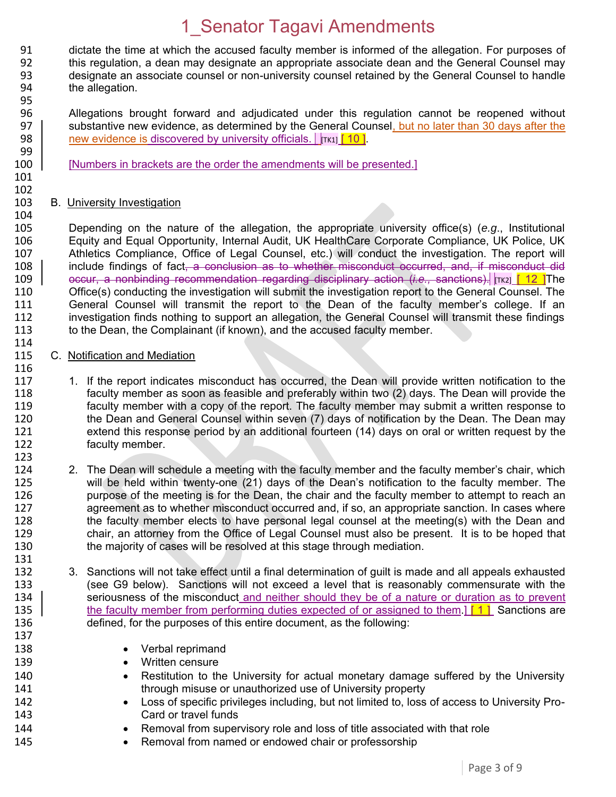91 dictate the time at which the accused faculty member is informed of the allegation. For purposes of 92 this requilation, a dean may designate an appropriate associate dean and the General Counsel may 92 this regulation, a dean may designate an appropriate associate dean and the General Counsel may<br>93 designate an associate counsel or non-university counsel retained by the General Counsel to handle designate an associate counsel or non-university counsel retained by the General Counsel to handle 94 the allegation. 95

- 96 Allegations brought forward and adjudicated under this regulation cannot be reopened without 97 substantive new evidence, as determined by the General Counsel, but no later than 30 days after the 98 square research in the 98 square research to university officials  $\frac{1}{2}$  research 10 l new evidence is discovered by university officials.  $\int$   $\int$   $\int$   $\int$   $\int$  10 ].
- 100 [Numbers in brackets are the order the amendments will be presented.]

#### 101 102

99

116

123

#### 103 B. University Investigation

104<br>105 105 Depending on the nature of the allegation, the appropriate university office(s) (*e.g*., Institutional 106 Equity and Equal Opportunity, Internal Audit, UK HealthCare Corporate Compliance, UK Police, UK 107 Athletics Compliance, Office of Legal Counsel, etc.) will conduct the investigation. The report will<br>108 | include findings of fact. a conclusion as to whether misconduct occurred, and, if misconduct did include findings of fact, a conclusion as to whether misconduct occurred, and, if misconduct did 109 | occur, a nonbinding recommendation regarding disciplinary action (*i.e.*, sanctions). Trk21 [ 12 ]The 110 Office(s) conducting the investigation will submit the investigation report to the General Counsel. The 111 General Counsel will transmit the report to the Dean of the faculty member's college. If an 112 investigation finds nothing to support an allegation, the General Counsel will transmit these findings 113 to the Dean, the Complainant (if known), and the accused faculty member.

- 114<br>115 C. Notification and Mediation
- 117 1. If the report indicates misconduct has occurred, the Dean will provide written notification to the 118 faculty member as soon as feasible and preferably within two (2) days. The Dean will provide the 119 faculty member with a copy of the report. The faculty member may submit a written response to<br>120 fine Dean and General Counsel within seven (7) days of notification by the Dean. The Dean may 120 the Dean and General Counsel within seven (7) days of notification by the Dean. The Dean may<br>121 extend this response period by an additional fourteen (14) days on oral or written request by the 121 extend this response period by an additional fourteen (14) days on oral or written request by the 122 faculty member.
- 124 2. The Dean will schedule a meeting with the faculty member and the faculty member's chair, which<br>125 will be held within twenty-one (21) days of the Dean's notification to the faculty member. The will be held within twenty-one (21) days of the Dean's notification to the faculty member. The 126 purpose of the meeting is for the Dean, the chair and the faculty member to attempt to reach an 127 agreement as to whether misconduct occurred and, if so, an appropriate sanction. In cases where 128 the faculty member elects to have personal legal counsel at the meeting(s) with the Dean and<br>129 the chair, an attorney from the Office of Legal Counsel must also be present. It is to be hoped that 129 chair, an attorney from the Office of Legal Counsel must also be present. It is to be hoped that 130 the maiority of cases will be resolved at this stage through mediation. the majority of cases will be resolved at this stage through mediation.
- 132 3. Sanctions will not take effect until a final determination of guilt is made and all appeals exhausted 133 (see G9 below). Sanctions will not exceed a level that is reasonably commensurate with the 134 | seriousness of the misconduct and neither should they be of a nature or duration as to prevent seriousness of the misconduct and neither should they be of a nature or duration as to prevent 135 the faculty member from performing duties expected of or assigned to them.] [1] Sanctions are 136 defined, for the purposes of this entire document, as the following:
- 137

131

- 138 **•** Verbal reprimand
- 139 Written censure
- 140 Restitution to the University for actual monetary damage suffered by the University 141 through misuse or unauthorized use of University property
- 142 **ILOSS** of specific privileges including, but not limited to, loss of access to University Pro-<br>143 **Card or travel funds** Card or travel funds
- 144 **••** Removal from supervisory role and loss of title associated with that role
- 145 **•** Removal from named or endowed chair or professorship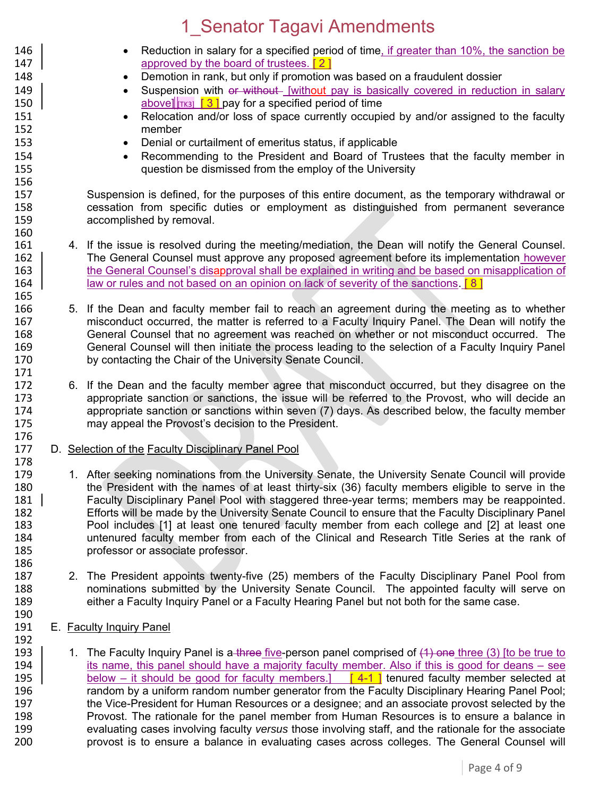- 146 **EXECT:** Reduction in salary for a specified period of time, if greater than 10%, the sanction be 147 **147 approved by the board of trustees.** [2] 148 **Demotion in rank, but only if promotion was based on a fraudulent dossier** 149 **Suspension with or without** [without pay is basically covered in reduction in salary 150  $\vert$  above]  $\vert$ [TK3]  $\vert$  3  $\vert$  pay for a specified period of time 151 
Relocation and/or loss of space currently occupied by and/or assigned to the faculty<br>
152 member 153 **Denial or curtailment of emeritus status, if applicable** 154 **Recommending to the President and Board of Trustees that the faculty member in**<br>155 **austion be dismissed from the employ of the University** question be dismissed from the employ of the University 156 157 Suspension is defined, for the purposes of this entire document, as the temporary withdrawal or 158 cessation from specific duties or employment as distinguished from permanent severance 159 accomplished by removal. 160<br>161 4. If the issue is resolved during the meeting/mediation, the Dean will notify the General Counsel. 162 The General Counsel must approve any proposed agreement before its implementation however 163 the General Counsel's disapproval shall be explained in writing and be based on misapplication of 164 **law or rules and not based on an opinion on lack of severity of the sanctions.** [8] 165 166 5. If the Dean and faculty member fail to reach an agreement during the meeting as to whether<br>167 https://www.misconduct occurred, the matter is referred to a Faculty Inquiry Panel. The Dean will notify the 167 misconduct occurred, the matter is referred to a Faculty Inquiry Panel. The Dean will notify the<br>168 General Counsel that no agreement was reached on whether or not misconduct occurred. The 168 General Counsel that no agreement was reached on whether or not misconduct occurred. The 169 General Counsel will then initiate the process leading to the selection of a Faculty Inquiry Panel<br>170 by contacting the Chair of the University Senate Council. by contacting the Chair of the University Senate Council. 171 172 6. If the Dean and the faculty member agree that misconduct occurred, but they disagree on the 173 appropriate sanction or sanctions, the issue will be referred to the Provost, who will decide an 174 appropriate sanction or sanctions within seven (7) days. As described below, the faculty member 174 appropriate sanction or sanctions within seven (7) days. As described below, the faculty member<br>175 may appeal the Provost's decision to the President. may appeal the Provost's decision to the President. 176<br>177 D. Selection of the Faculty Disciplinary Panel Pool 178 179 1. After seeking nominations from the University Senate, the University Senate Council will provide 180 the President with the names of at least thirty-six (36) faculty members eligible to serve in the 181 Faculty Disciplinary Panel Pool with staggered three-year terms; members may be reappointed. 182 Efforts will be made by the University Senate Council to ensure that the Faculty Disciplinary Panel<br>183 Pool includes [1] at least one tenured faculty member from each college and [2] at least one 183 Pool includes [1] at least one tenured faculty member from each college and [2] at least one<br>184 http://www.theoremark.com/sachiof the Clinical and Research Title Series at the rank of 184 untenured faculty member from each of the Clinical and Research Title Series at the rank of 185 professor or associate professor. 186 187 2. The President appoints twenty-five (25) members of the Faculty Disciplinary Panel Pool from<br>188 http://www.mominations submitted by the University Senate Council. The appointed faculty will serve on nominations submitted by the University Senate Council. The appointed faculty will serve on 189 either a Faculty Inquiry Panel or a Faculty Hearing Panel but not both for the same case. 190<br>191 E. Faculty Inquiry Panel 192<br>193 1. The Faculty Inquiry Panel is a three five-person panel comprised of (4) one three (3) [to be true to 194 its name, this panel should have a majority faculty member. Also if this is good for deans – see
- 195 below it should be good for faculty members.]  $\begin{bmatrix} 4-1 \end{bmatrix}$  tenured faculty member selected at 196 random by a uniform random number generator from the Faculty Disciplinary Hearing Panel Pool;<br>197 the Vice-President for Human Resources or a designee: and an associate provost selected by the 197 the Vice-President for Human Resources or a designee; and an associate provost selected by the<br>198 **198** Provost. The rationale for the panel member from Human Resources is to ensure a balance in Provost. The rationale for the panel member from Human Resources is to ensure a balance in 199 evaluating cases involving faculty *versus* those involving staff, and the rationale for the associate provost is to ensure a balance in evaluating cases across colleges. The General Counsel will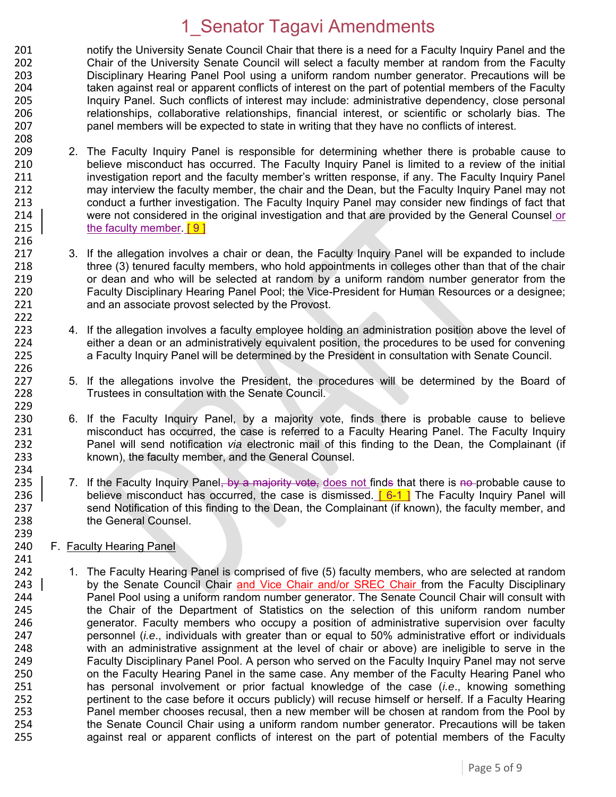201 notify the University Senate Council Chair that there is a need for a Faculty Inquiry Panel and the<br>202 Chair of the University Senate Council will select a faculty member at random from the Faculty Chair of the University Senate Council will select a faculty member at random from the Faculty Disciplinary Hearing Panel Pool using a uniform random number generator. Precautions will be taken against real or apparent conflicts of interest on the part of potential members of the Faculty Inquiry Panel. Such conflicts of interest may include: administrative dependency, close personal relationships, collaborative relationships, financial interest, or scientific or scholarly bias. The panel members will be expected to state in writing that they have no conflicts of interest. 208

- 209 2. The Faculty Inquiry Panel is responsible for determining whether there is probable cause to 210 believe misconduct has occurred. The Faculty Inquiry Panel is limited to a review of the initial 211 investigation report and the faculty member's written response, if any. The Faculty Inquiry Panel 212 may interview the faculty member, the chair and the Dean, but the Faculty Inquiry Panel may not 213 conduct a further investigation. The Faculty Inquiry Panel may consider new findings of fact that 214 were not considered in the original investigation and that are provided by the General Counsel or 215 the faculty member. [9]
- 217 3. If the allegation involves a chair or dean, the Faculty Inquiry Panel will be expanded to include 218 three (3) tenured faculty members, who hold appointments in colleges other than that of the chair 219 or dean and who will be selected at random by a uniform random number generator from the 220 Faculty Disciplinary Hearing Panel Pool; the Vice-President for Human Resources or a designee; 221 and an associate provost selected by the Provost.
- 223 4. If the allegation involves a faculty employee holding an administration position above the level of 224 either a dean or an administratively equivalent position, the procedures to be used for convening 224 either a dean or an administratively equivalent position, the procedures to be used for convening<br>225 a Faculty Inquiry Panel will be determined by the President in consultation with Senate Council. a Faculty Inquiry Panel will be determined by the President in consultation with Senate Council.
- 227 5. If the allegations involve the President, the procedures will be determined by the Board of 228 Trustees in consultation with the Senate Council.
- 230 6. If the Faculty Inquiry Panel, by a majority vote, finds there is probable cause to believe<br>231 misconduct has occurred, the case is referred to a Faculty Hearing Panel. The Faculty Inquiry 231 misconduct has occurred, the case is referred to a Faculty Hearing Panel. The Faculty Inquiry<br>232 Panel will send notification *via* electronic mail of this finding to the Dean, the Complainant (if 232 Panel will send notification *via* electronic mail of this finding to the Dean, the Complainant (if 233 known), the faculty member, and the General Counsel.
- 235  $\vert$  7. If the Faculty Inquiry Panel, by a majority vote, does not finds that there is no probable cause to 236 believe misconduct has occurred, the case is dismissed.  $[6-1]$  The Faculty Inquiry Panel will 237 send Notification of this finding to the Dean, the Complainant (if known), the faculty member, and 238 the General Counsel.
- 239<br>240 F. Faculty Hearing Panel

216

222

226

229<br>230

234

241

 1. The Faculty Hearing Panel is comprised of five (5) faculty members, who are selected at random 243 by the Senate Council Chair and Vice Chair and/or SREC Chair from the Faculty Disciplinary 244 Panel Pool using a uniform random number generator. The Senate Council Chair will consult with<br>245 the Chair of the Department of Statistics on the selection of this uniform random number the Chair of the Department of Statistics on the selection of this uniform random number generator. Faculty members who occupy a position of administrative supervision over faculty personnel (*i.e*., individuals with greater than or equal to 50% administrative effort or individuals with an administrative assignment at the level of chair or above) are ineligible to serve in the Faculty Disciplinary Panel Pool. A person who served on the Faculty Inquiry Panel may not serve on the Faculty Hearing Panel in the same case. Any member of the Faculty Hearing Panel who has personal involvement or prior factual knowledge of the case (*i.e*., knowing something pertinent to the case before it occurs publicly) will recuse himself or herself. If a Faculty Hearing Panel member chooses recusal, then a new member will be chosen at random from the Pool by 254 the Senate Council Chair using a uniform random number generator. Precautions will be taken<br>255 an against real or apparent conflicts of interest on the part of potential members of the Faculty against real or apparent conflicts of interest on the part of potential members of the Faculty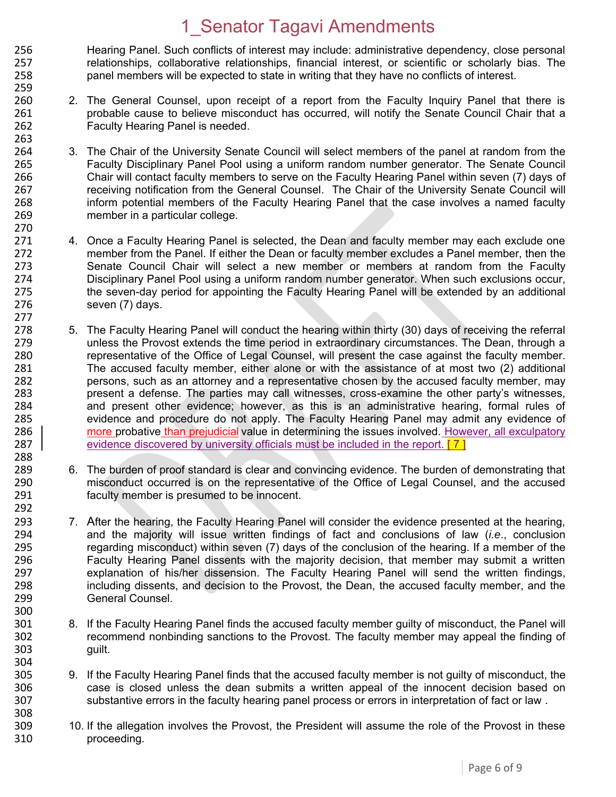256 Hearing Panel. Such conflicts of interest may include: administrative dependency, close personal<br>257 http://www.fataborative relationships. financial interest. or scientific or scholarly bias. The 257 relationships, collaborative relationships, financial interest, or scientific or scholarly bias. The 258 panel members will be expected to state in writing that they have no conflicts of interest. 259

263

277

288

292

300

- 260 2. The General Counsel, upon receipt of a report from the Faculty Inquiry Panel that there is 261 probable cause to believe misconduct has occurred, will notify the Senate Council Chair that a 262 Faculty Hearing Panel is needed.
- 264 3. The Chair of the University Senate Council will select members of the panel at random from the 265 [265 265 Faculty Disciplinary Panel Pool using a uniform random number generator. The Senate Council 266 Chair will contact faculty members to serve on the Faculty Hearing Panel within seven (7) days of 267 receiving notification from the General Counsel. The Chair of the University Senate Council will 268 inform potential members of the Faculty Hearing Panel that the case involves a named faculty 269 member in a particular college.
- 270<br>271 4. Once a Faculty Hearing Panel is selected, the Dean and faculty member may each exclude one 272 member from the Panel. If either the Dean or faculty member excludes a Panel member, then the<br>273 Senate Council Chair will select a new member or members at random from the Faculty Senate Council Chair will select a new member or members at random from the Faculty 274 Disciplinary Panel Pool using a uniform random number generator. When such exclusions occur, 275 the seven-day period for appointing the Faculty Hearing Panel will be extended by an additional 276 seven (7) days.
- 278 5. The Faculty Hearing Panel will conduct the hearing within thirty (30) days of receiving the referral<br>279 https://www.therends the time period in extraordinary circumstances. The Dean, through a 279 unless the Provost extends the time period in extraordinary circumstances. The Dean, through a<br>280 entry representative of the Office of Legal Counsel, will present the case against the faculty member. 280 representative of the Office of Legal Counsel, will present the case against the faculty member.<br>281 The accused faculty member, either alone or with the assistance of at most two (2) additional The accused faculty member, either alone or with the assistance of at most two (2) additional 282 persons, such as an attorney and a representative chosen by the accused faculty member, may 283 present a defense. The parties may call witnesses, cross-examine the other party's witnesses,<br>284 and present other evidence: however, as this is an administrative hearing formal rules of 284 and present other evidence; however, as this is an administrative hearing, formal rules of 285 285 evidence and procedure do not apply. The Faculty Hearing Panel may admit any evidence of 286 | more probative than prejudicial value in determining the issues involved. However, all exculpatory 286 more probative than prejudicial value in determining the issues involved. However, all exculpatory 287 evidence discovered by university officials must be included in the report.  $\begin{bmatrix} 7 \end{bmatrix}$
- 289 6. The burden of proof standard is clear and convincing evidence. The burden of demonstrating that 290 misconduct occurred is on the representative of the Office of Legal Counsel, and the accused 291 faculty member is presumed to be innocent.
- 293 7. After the hearing, the Faculty Hearing Panel will consider the evidence presented at the hearing, 294 and the majority will issue written findings of fact and conclusions of law (*i.e*., conclusion 295 regarding misconduct) within seven (7) days of the conclusion of the hearing. If a member of the<br>296 **Faculty Hearing Panel dissents with the maiority decision**, that member may submit a written 296 Faculty Hearing Panel dissents with the majority decision, that member may submit a written<br>297 Sexplanation of his/her dissension. The Faculty Hearing Panel will send the written findings. explanation of his/her dissension. The Faculty Hearing Panel will send the written findings, 298 including dissents, and decision to the Provost, the Dean, the accused faculty member, and the 299 General Counsel.
- 301 8. If the Faculty Hearing Panel finds the accused faculty member guilty of misconduct, the Panel will 302 recommend nonbinding sanctions to the Provost. The faculty member may appeal the finding of 303 guilt.
- 304<br>305 305 9. If the Faculty Hearing Panel finds that the accused faculty member is not guilty of misconduct, the 306<br>306 case is closed unless the dean submits a written appeal of the innocent decision based on 306 case is closed unless the dean submits a written appeal of the innocent decision based on<br>307 substantive errors in the faculty hearing panel process or errors in interpretation of fact or law. substantive errors in the faculty hearing panel process or errors in interpretation of fact or law. 308
- 309 10. If the allegation involves the Provost, the President will assume the role of the Provost in these 310 proceeding.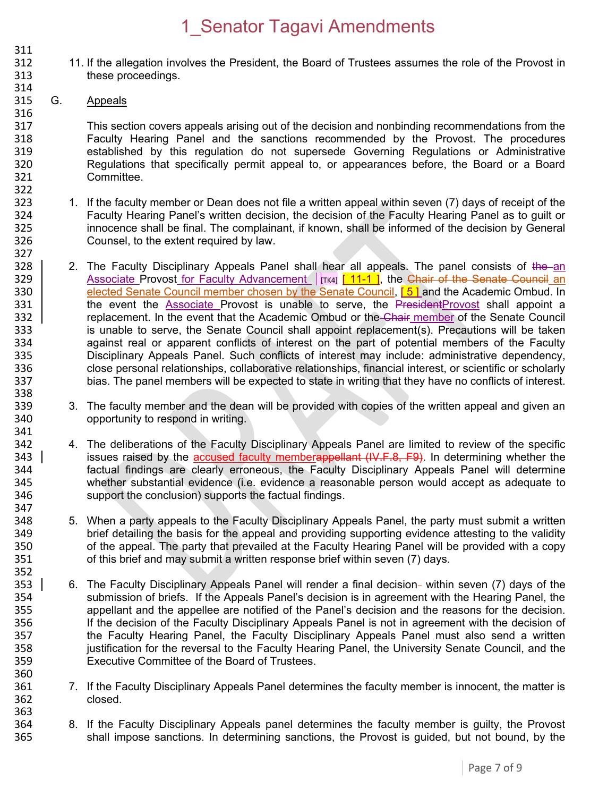- 311<br>312 312 11. If the allegation involves the President, the Board of Trustees assumes the role of the Provost in 313 these proceedings.
- 315 G. Appeals

314

322

338

347

352

360

316 317 This section covers appeals arising out of the decision and nonbinding recommendations from the<br>318 **The Example 218** Faculty Hearing Panel and the sanctions recommended by the Provost. The procedures 318 Faculty Hearing Panel and the sanctions recommended by the Provost. The procedures<br>319 established by this requiation do not supersede Governing Requiations or Administrative 319 established by this regulation do not supersede Governing Regulations or Administrative 320 Regulations that specifically permit appeal to, or appearances before, the Board or a Board 321 Committee.

- 323 1. If the faculty member or Dean does not file a written appeal within seven (7) days of receipt of the 324 Faculty Hearing Panel's written decision, the decision of the Faculty Hearing Panel as to guilt or 325 innocence shall be final. The complainant, if known, shall be informed of the decision by General<br>326 Counsel, to the extent required by law. Counsel, to the extent required by law.
- 327<br>328 2. The Faculty Disciplinary Appeals Panel shall hear all appeals. The panel consists of the an 329 Associate Provost for Faculty Advancement |  $\lbrack$  [TK4] [ 11-1 ], the Chair of the Senate Council an 330 elected Senate Council member chosen by the Senate Council, [5] and the Academic Ombud. In 331 the event the Associate Provost is unable to serve, the PresidentProvost shall appoint a 332 Ferrific metagement. In the event that the Academic Ombud or the Chair member of the Senate Council 333 is unable to serve, the Senate Council shall appoint replacement(s). Precautions will be taken<br>334 against real or apparent conflicts of interest on the part of potential members of the Faculty 334 against real or apparent conflicts of interest on the part of potential members of the Faculty<br>335 Disciplinary Appeals Panel. Such conflicts of interest may include: administrative dependency. 335 Disciplinary Appeals Panel. Such conflicts of interest may include: administrative dependency,<br>336 come close personal relationships, collaborative relationships, financial interest, or scientific or scholarly 336 close personal relationships, collaborative relationships, financial interest, or scientific or scholarly 337 bias. The panel members will be expected to state in writing that they have no conflicts of interest.
- 339 3. The faculty member and the dean will be provided with copies of the written appeal and given an 340 opportunity to respond in writing.
- 341<br>342 342 4. The deliberations of the Faculty Disciplinary Appeals Panel are limited to review of the specific 343 issues raised by the accused faculty memberappellant  $(W,F.8, F9)$ . In determining whether the 344 factual findings are clearly erroneous, the Faculty Disciplinary Appeals Panel will determine 345 whether substantial evidence (i.e. evidence a reasonable person would accept as adequate to 346 support the conclusion) supports the factual findings.
- 348 5. When a party appeals to the Faculty Disciplinary Appeals Panel, the party must submit a written<br>349 brief detailing the basis for the appeal and providing supporting evidence attesting to the validity 349 brief detailing the basis for the appeal and providing supporting evidence attesting to the validity<br>350 of the appeal. The party that prevailed at the Faculty Hearing Panel will be provided with a copy 350 of the appeal. The party that prevailed at the Faculty Hearing Panel will be provided with a copy<br>351 of this brief and may submit a written response brief within seven (7) days. of this brief and may submit a written response brief within seven (7) days.
- 353 6. The Faculty Disciplinary Appeals Panel will render a final decision- within seven (7) days of the 354 submission of briefs. If the Appeals Panel's decision is in agreement with the Hearing Panel, the<br>355 appellant and the appellee are notified of the Panel's decision and the reasons for the decision. appellant and the appellee are notified of the Panel's decision and the reasons for the decision. 356 If the decision of the Faculty Disciplinary Appeals Panel is not in agreement with the decision of 357 the Faculty Hearing Panel, the Faculty Disciplinary Appeals Panel must also send a written<br>358 in tustification for the reversal to the Faculty Hearing Panel, the University Senate Council, and the justification for the reversal to the Faculty Hearing Panel, the University Senate Council, and the 359 Executive Committee of the Board of Trustees.
- 361 7. If the Faculty Disciplinary Appeals Panel determines the faculty member is innocent, the matter is 362 closed.
- 363<br>364 364 8. If the Faculty Disciplinary Appeals panel determines the faculty member is guilty, the Provost 365 shall impose sanctions. In determining sanctions, the Provost is quided, but not bound, by the shall impose sanctions. In determining sanctions, the Provost is guided, but not bound, by the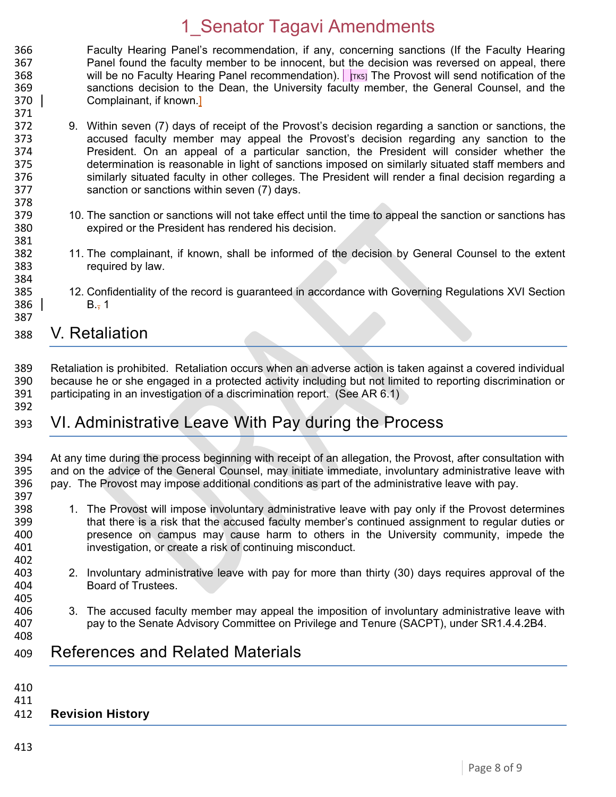- 366 Faculty Hearing Panel's recommendation, if any, concerning sanctions (If the Faculty Hearing<br>367 **Fanel found the faculty member to be innocent**, but the decision was reversed on appeal, there Panel found the faculty member to be innocent, but the decision was reversed on appeal, there 368 will be no Faculty Hearing Panel recommendation). Trial The Provost will send notification of the 369 sanctions decision to the Dean, the University faculty member, the General Counsel, and the 370 Complainant, if known.]
- 371 372 9. Within seven (7) days of receipt of the Provost's decision regarding a sanction or sanctions, the 373 accused faculty member may appeal the Provost's decision regarding any sanction to the 374 President. On an appeal of a particular sanction, the President will consider whether the 375 determination is reasonable in light of sanctions imposed on similarly situated staff members and 376 similarly situated faculty in other colleges. The President will render a final decision regarding a 377 sanction or sanctions within seven (7) days.
- 379 10. The sanction or sanctions will not take effect until the time to appeal the sanction or sanctions has<br>380 expired or the President has rendered his decision. expired or the President has rendered his decision.
- 382 11. The complainant, if known, shall be informed of the decision by General Counsel to the extent required by law.
- 385 12. Confidentiality of the record is guaranteed in accordance with Governing Regulations XVI Section 386 B., 1

#### 388 V. Retaliation

- 389 Retaliation is prohibited. Retaliation occurs when an adverse action is taken against a covered individual<br>390 because he or she engaged in a protected activity including but not limited to reporting discrimination or 390 because he or she engaged in a protected activity including but not limited to reporting discrimination or<br>391 participating in an investigation of a discrimination report. (See AR 6.1) participating in an investigation of a discrimination report. (See AR 6.1)
- 393 VI. Administrative Leave With Pay during the Process
- 394 At any time during the process beginning with receipt of an allegation, the Provost, after consultation with 395 and on the advice of the General Counsel, may initiate immediate, involuntary administrative leave with and on the advice of the General Counsel, may initiate immediate, involuntary administrative leave with 396 pay. The Provost may impose additional conditions as part of the administrative leave with pay.
- 397<br>398

378

381

384

387

392

- 398 1. The Provost will impose involuntary administrative leave with pay only if the Provost determines<br>399 that there is a risk that the accused faculty member's continued assignment to regular duties or that there is a risk that the accused faculty member's continued assignment to regular duties or 400 presence on campus may cause harm to others in the University community, impede the 401 investigation, or create a risk of continuing misconduct. 402<br>403
- 403 2. Involuntary administrative leave with pay for more than thirty (30) days requires approval of the 404 Board of Trustees.
- 406 3. The accused faculty member may appeal the imposition of involuntary administrative leave with 407 pay to the Senate Advisory Committee on Privilege and Tenure (SACPT), under SR1.4.4.2B4.
- 408

405

409 References and Related Materials

- 410
- 411

#### 412 **Revision History**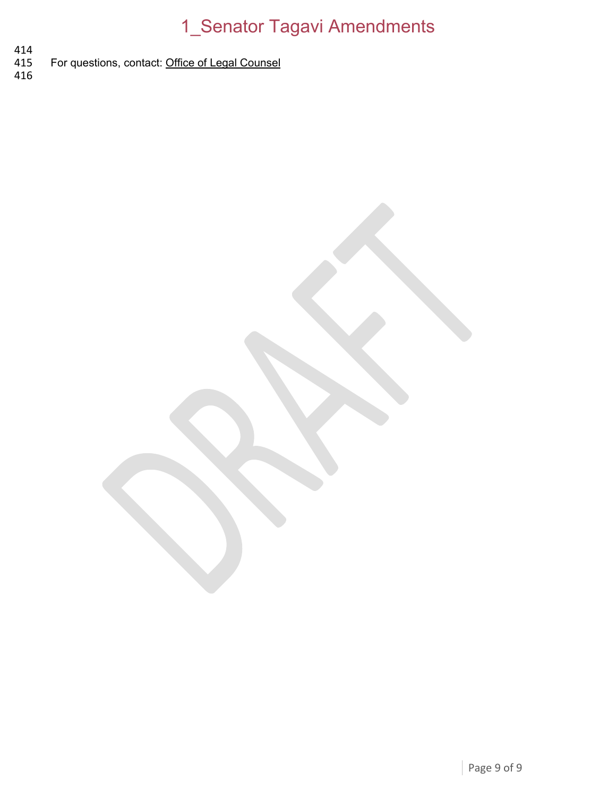- 414<br>415 For questions, contact: [Office of Legal Counsel](mailto:LegalRegs@uky.edu)
- 416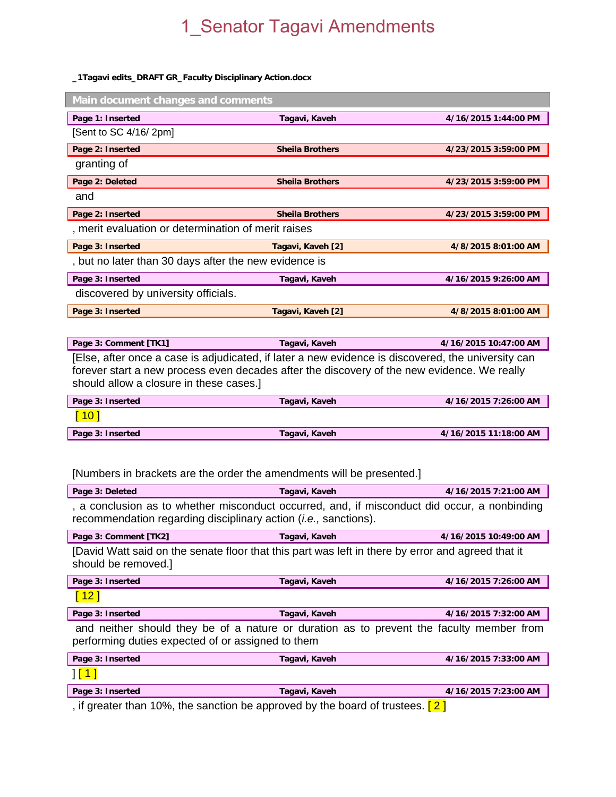#### **\_1Tagavi edits\_DRAFT GR\_Faculty Disciplinary Action.docx**

| Main document changes and comments                                                                                                                                                                                                           |                        |                       |
|----------------------------------------------------------------------------------------------------------------------------------------------------------------------------------------------------------------------------------------------|------------------------|-----------------------|
| Page 1: Inserted                                                                                                                                                                                                                             | Tagavi, Kaveh          | 4/16/2015 1:44:00 PM  |
| [Sent to SC 4/16/2pm]                                                                                                                                                                                                                        |                        |                       |
| Page 2: Inserted                                                                                                                                                                                                                             | <b>Sheila Brothers</b> | 4/23/2015 3:59:00 PM  |
| granting of                                                                                                                                                                                                                                  |                        |                       |
| Page 2: Deleted                                                                                                                                                                                                                              | <b>Sheila Brothers</b> | 4/23/2015 3:59:00 PM  |
| and                                                                                                                                                                                                                                          |                        |                       |
| Page 2: Inserted                                                                                                                                                                                                                             | <b>Sheila Brothers</b> | 4/23/2015 3:59:00 PM  |
| , merit evaluation or determination of merit raises                                                                                                                                                                                          |                        |                       |
| Page 3: Inserted                                                                                                                                                                                                                             | Tagavi, Kaveh [2]      | 4/8/2015 8:01:00 AM   |
| , but no later than 30 days after the new evidence is                                                                                                                                                                                        |                        |                       |
| Page 3: Inserted                                                                                                                                                                                                                             | Tagavi, Kaveh          | 4/16/2015 9:26:00 AM  |
| discovered by university officials.                                                                                                                                                                                                          |                        |                       |
| Page 3: Inserted                                                                                                                                                                                                                             | Tagavi, Kaveh [2]      | 4/8/2015 8:01:00 AM   |
|                                                                                                                                                                                                                                              |                        |                       |
| Page 3: Comment [TK1]                                                                                                                                                                                                                        | Tagavi, Kaveh          | 4/16/2015 10:47:00 AM |
| [Else, after once a case is adjudicated, if later a new evidence is discovered, the university can<br>forever start a new process even decades after the discovery of the new evidence. We really<br>should allow a closure in these cases.] |                        |                       |
| Page 3: Inserted                                                                                                                                                                                                                             | Tagavi, Kaveh          | 4/16/2015 7:26:00 AM  |
| $\left[ 10 \right]$                                                                                                                                                                                                                          |                        |                       |
| Page 3: Inserted                                                                                                                                                                                                                             | Tagavi, Kaveh          | 4/16/2015 11:18:00 AM |
|                                                                                                                                                                                                                                              |                        |                       |

[Numbers in brackets are the order the amendments will be presented.]

| Page 3: Deleted                                                                                                                                                          | Tagavi, Kaveh | 4/16/2015 7:21:00 AM  |
|--------------------------------------------------------------------------------------------------------------------------------------------------------------------------|---------------|-----------------------|
| , a conclusion as to whether misconduct occurred, and, if misconduct did occur, a nonbinding<br>recommendation regarding disciplinary action ( <i>i.e.</i> , sanctions). |               |                       |
| Page 3: Comment [TK2]                                                                                                                                                    | Tagavi, Kaveh | 4/16/2015 10:49:00 AM |
| [David Watt said on the senate floor that this part was left in there by error and agreed that it<br>should be removed.]                                                 |               |                       |
| Page 3: Inserted                                                                                                                                                         | Tagavi, Kaveh | 4/16/2015 7:26:00 AM  |
| $^{\circ}$ 12                                                                                                                                                            |               |                       |

Page 3: Inserted Tagavi, Kaveh **Tagavi, Kaveh** 4/16/2015 7:32:00 AM and neither should they be of a nature or duration as to prevent the faculty member from performing duties expected of or assigned to them

| Page 3: Inserted | Tagavi, Kaveh | 4/16/2015 7:33:00 AM |
|------------------|---------------|----------------------|
| $1$ [1           |               |                      |
| Page 3: Inserted | Tagavi, Kaveh | 4/16/2015 7:23:00 AM |
|                  |               |                      |

, if greater than 10%, the sanction be approved by the board of trustees.  $[2]$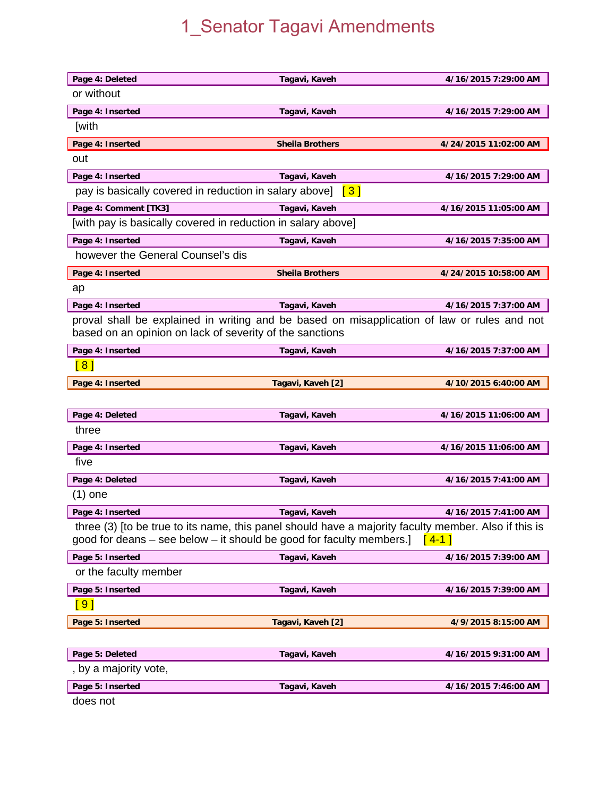| Page 4: Deleted                                              | Tagavi, Kaveh                                                                                                                                                                        | 4/16/2015 7:29:00 AM  |
|--------------------------------------------------------------|--------------------------------------------------------------------------------------------------------------------------------------------------------------------------------------|-----------------------|
| or without                                                   |                                                                                                                                                                                      |                       |
| Page 4: Inserted                                             | Tagavi, Kaveh                                                                                                                                                                        | 4/16/2015 7:29:00 AM  |
| <b>[with</b>                                                 |                                                                                                                                                                                      |                       |
| Page 4: Inserted                                             | <b>Sheila Brothers</b>                                                                                                                                                               | 4/24/2015 11:02:00 AM |
| out                                                          |                                                                                                                                                                                      |                       |
| Page 4: Inserted                                             | Tagavi, Kaveh                                                                                                                                                                        | 4/16/2015 7:29:00 AM  |
| pay is basically covered in reduction in salary above]       | $\lceil 3 \rceil$                                                                                                                                                                    |                       |
| Page 4: Comment [TK3]                                        | Tagavi, Kaveh                                                                                                                                                                        | 4/16/2015 11:05:00 AM |
| [with pay is basically covered in reduction in salary above] |                                                                                                                                                                                      |                       |
| Page 4: Inserted                                             | Tagavi, Kaveh                                                                                                                                                                        | 4/16/2015 7:35:00 AM  |
| however the General Counsel's dis                            |                                                                                                                                                                                      |                       |
| Page 4: Inserted                                             | <b>Sheila Brothers</b>                                                                                                                                                               | 4/24/2015 10:58:00 AM |
| ap                                                           |                                                                                                                                                                                      |                       |
| Page 4: Inserted                                             | Tagavi, Kaveh                                                                                                                                                                        | 4/16/2015 7:37:00 AM  |
|                                                              | proval shall be explained in writing and be based on misapplication of law or rules and not                                                                                          |                       |
| based on an opinion on lack of severity of the sanctions     |                                                                                                                                                                                      |                       |
| Page 4: Inserted                                             | Tagavi, Kaveh                                                                                                                                                                        | 4/16/2015 7:37:00 AM  |
| $\sqrt{8}$                                                   |                                                                                                                                                                                      |                       |
| Page 4: Inserted                                             | Tagavi, Kaveh [2]                                                                                                                                                                    | 4/10/2015 6:40:00 AM  |
|                                                              |                                                                                                                                                                                      |                       |
| Page 4: Deleted                                              | Tagavi, Kaveh                                                                                                                                                                        | 4/16/2015 11:06:00 AM |
| three                                                        |                                                                                                                                                                                      |                       |
| Page 4: Inserted                                             | Tagavi, Kaveh                                                                                                                                                                        | 4/16/2015 11:06:00 AM |
| five                                                         |                                                                                                                                                                                      |                       |
| Page 4: Deleted                                              | Tagavi, Kaveh                                                                                                                                                                        | 4/16/2015 7:41:00 AM  |
| (1) one                                                      |                                                                                                                                                                                      |                       |
| Page 4: Inserted                                             | Tagavi, Kaveh                                                                                                                                                                        | 4/16/2015 7:41:00 AM  |
|                                                              | three (3) [to be true to its name, this panel should have a majority faculty member. Also if this is<br>good for deans – see below – it should be good for faculty members.] $[4-1]$ |                       |
| Page 5: Inserted                                             | Tagavi, Kaveh                                                                                                                                                                        | 4/16/2015 7:39:00 AM  |
| or the faculty member                                        |                                                                                                                                                                                      |                       |
| Page 5: Inserted                                             | Tagavi, Kaveh                                                                                                                                                                        | 4/16/2015 7:39:00 AM  |
| [ 9 ]                                                        |                                                                                                                                                                                      |                       |
| Page 5: Inserted                                             | Tagavi, Kaveh [2]                                                                                                                                                                    | 4/9/2015 8:15:00 AM   |
|                                                              |                                                                                                                                                                                      |                       |
| Page 5: Deleted                                              | Tagavi, Kaveh                                                                                                                                                                        | 4/16/2015 9:31:00 AM  |
| , by a majority vote,                                        |                                                                                                                                                                                      |                       |
| Page 5: Inserted                                             | Tagavi, Kaveh                                                                                                                                                                        | 4/16/2015 7:46:00 AM  |
| does not                                                     |                                                                                                                                                                                      |                       |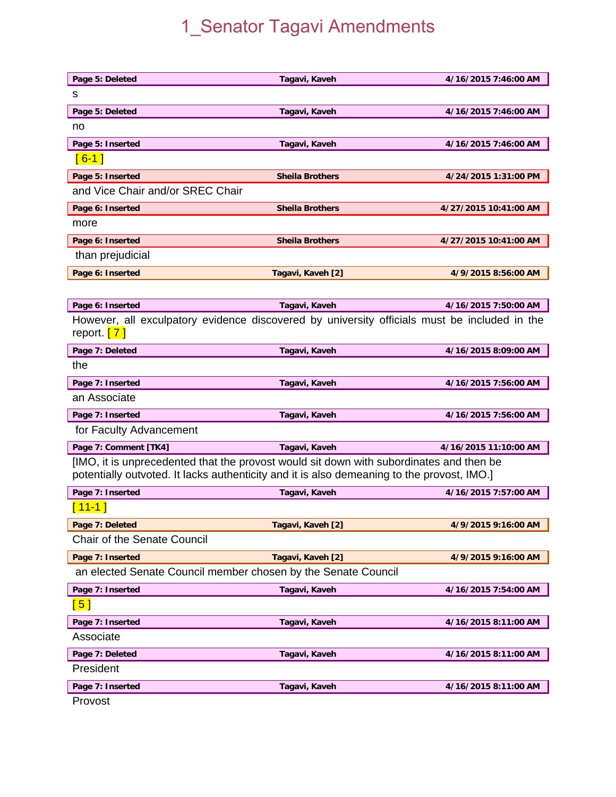| Page 5: Deleted                                                                                                                                                                       | Tagavi, Kaveh          | 4/16/2015 7:46:00 AM  |
|---------------------------------------------------------------------------------------------------------------------------------------------------------------------------------------|------------------------|-----------------------|
| s                                                                                                                                                                                     |                        |                       |
| Page 5: Deleted                                                                                                                                                                       | Tagavi, Kaveh          | 4/16/2015 7:46:00 AM  |
| no                                                                                                                                                                                    |                        |                       |
| Page 5: Inserted                                                                                                                                                                      | Tagavi, Kaveh          | 4/16/2015 7:46:00 AM  |
| $[6 - 1]$                                                                                                                                                                             |                        |                       |
| Page 5: Inserted                                                                                                                                                                      | <b>Sheila Brothers</b> | 4/24/2015 1:31:00 PM  |
| and Vice Chair and/or SREC Chair                                                                                                                                                      |                        |                       |
| Page 6: Inserted                                                                                                                                                                      | <b>Sheila Brothers</b> | 4/27/2015 10:41:00 AM |
| more                                                                                                                                                                                  |                        |                       |
| Page 6: Inserted                                                                                                                                                                      | <b>Sheila Brothers</b> | 4/27/2015 10:41:00 AM |
| than prejudicial                                                                                                                                                                      |                        |                       |
| Page 6: Inserted                                                                                                                                                                      | Tagavi, Kaveh [2]      | 4/9/2015 8:56:00 AM   |
|                                                                                                                                                                                       |                        |                       |
| Page 6: Inserted                                                                                                                                                                      | Tagavi, Kaveh          | 4/16/2015 7:50:00 AM  |
| However, all exculpatory evidence discovered by university officials must be included in the<br>report. $[7]$                                                                         |                        |                       |
| Page 7: Deleted                                                                                                                                                                       | Tagavi, Kaveh          | 4/16/2015 8:09:00 AM  |
| the                                                                                                                                                                                   |                        |                       |
| Page 7: Inserted                                                                                                                                                                      | Tagavi, Kaveh          | 4/16/2015 7:56:00 AM  |
| an Associate                                                                                                                                                                          |                        |                       |
| Page 7: Inserted                                                                                                                                                                      | Tagavi, Kaveh          | 4/16/2015 7:56:00 AM  |
| for Faculty Advancement                                                                                                                                                               |                        |                       |
| Page 7: Comment [TK4]                                                                                                                                                                 | Tagavi, Kaveh          | 4/16/2015 11:10:00 AM |
| [IMO, it is unprecedented that the provost would sit down with subordinates and then be<br>potentially outvoted. It lacks authenticity and it is also demeaning to the provost, IMO.] |                        |                       |
| Page 7: Inserted                                                                                                                                                                      | Tagavi, Kaveh          | 4/16/2015 7:57:00 AM  |
| $11-1$                                                                                                                                                                                |                        |                       |
| Page 7: Deleted                                                                                                                                                                       | Tagavi, Kaveh [2]      | 4/9/2015 9:16:00 AM   |
| Chair of the Senate Council                                                                                                                                                           |                        |                       |
| Page 7: Inserted                                                                                                                                                                      | Tagavi, Kaveh [2]      | 4/9/2015 9:16:00 AM   |
| an elected Senate Council member chosen by the Senate Council                                                                                                                         |                        |                       |
| Page 7: Inserted                                                                                                                                                                      | Tagavi, Kaveh          | 4/16/2015 7:54:00 AM  |
| $\lceil 5 \rceil$                                                                                                                                                                     |                        |                       |
| Page 7: Inserted                                                                                                                                                                      | Tagavi, Kaveh          | 4/16/2015 8:11:00 AM  |
| Associate                                                                                                                                                                             |                        |                       |
| Page 7: Deleted                                                                                                                                                                       | Tagavi, Kaveh          | 4/16/2015 8:11:00 AM  |
| President                                                                                                                                                                             |                        |                       |
| Page 7: Inserted                                                                                                                                                                      | Tagavi, Kaveh          | 4/16/2015 8:11:00 AM  |
| Provost                                                                                                                                                                               |                        |                       |